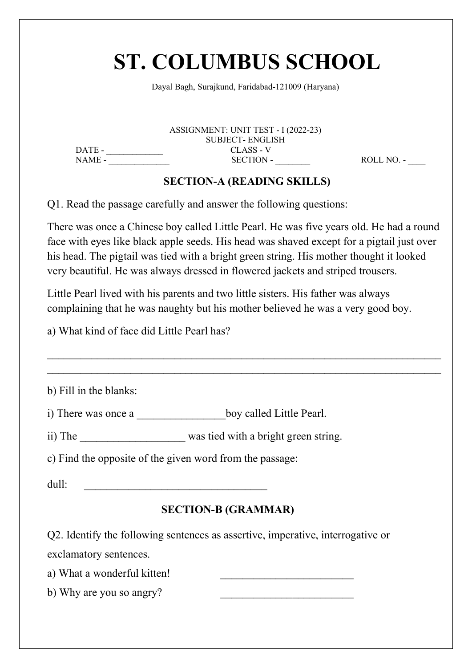# ST. COLUMBUS SCHOOL<br>Dayal Bagh, Surajkund, Faridabad-121009 (Haryana)  $\textbf{COLUMBUS SCH OOL}$ <br>Dayal Bagh, Surajkund, Faridabad-121009 (Haryana)<br>ASSIGNMENT: UNIT TEST - 1 (2022-23)

**OLUMBUS SCHOOL**<br>
I Bagh, Surajkund, Faridabad-121009 (Haryana)<br>
ASSIGNMENT: UNIT TEST - I (2022-23)<br>
SUBJECT- ENGLISH<br>
CLASS - V<br>
SECTION-A (READING SKILLS) SUBJECT- ENGLISH DATE - \_\_\_\_\_\_\_\_\_\_\_\_\_ CLASS - V NAME - \_\_\_\_\_\_\_\_\_\_\_\_\_\_ SECTION - \_\_\_\_\_\_\_\_ ROLL NO. - \_\_\_\_ COLUMBUS SCHOOL<br>
Val Bagh, Surajkund, Faridabad-121009 (Haryana)<br>
ASSIGNMENT: UNIT TEST - I (2022-23)<br>
SUBJECT- ENGLISH<br>
CLASS - V<br>
SECTION-A (READING SKILLS)<br>
Fully and answer the following questions:<br>
boy called Little P

**ST. COLUMBUS SCHOOL**<br>
Dayal Bagh, Surajkund, Faridabad-121009 (Haryana)<br>
ASSIGNMENT: UNIT TEST - I (2022-23)<br>
DATE: SUBJECT ENGLISS FORCE ENGLISS FOR CALL NO.<br>
SECTION-A (READING SKILLS)<br>
Q1. Read the passage carefully an There was once a Chinese boy called Little Pearl. He was five years old. He had a round **ST. COLUMBUS SCHOOL**<br>
Dayal Bagh, Surajkund, Faridabad-121009 (Haryana)<br>
ASSIGNMENT: UNIT TEST - I (2022-23)<br>
DATE - SUBJECT ENGLISH<br>
NAME - SUBJECT ENGLIS - V<br>
SECTION - A (READING SKILLS)<br>
Q1. Read the passage carefully **ST. COLUMBUS SCHOOL**<br>
Dayal Bagh, Surajkund, Faridabad-121009 (Haryana)<br>
ASSIGNMENT: UNIT TEST - 1 (2022-23)<br>
DATE-<br>
SUBLICT- ENGLISH<br>
NAME -<br>
SURICTION-A (READING SKILLS)<br>
Q1. Read the passage carefully and answer the fo very beautiful. He was always dressed in flowered jackets and striped books.<br>
Little Pearl lived with in parameter in Fig. 2011 and striped in the passage carefully and answer the following questions:<br>
There was once a Chi EXECTION AND SUBJECT ENGLISHERE THE CO22-23)<br>
DATE - SUBJECT ENGLISH<br>
SUBJECT DNAME - SECTION - CLASS - V<br>
SECTION - A (READING SKILLS)<br>
Q1. Read the passage carefully and answer the following questions:<br>
There was once a complaining that he was naughty but his mother believed he was a very good boy. a) What kind of face did Little Pearl has? \_\_\_\_\_\_\_\_\_\_\_\_\_\_\_\_\_\_\_\_\_\_\_\_\_\_\_\_\_\_\_\_\_\_\_\_\_\_\_\_\_\_\_\_\_\_\_\_\_\_\_\_\_\_\_\_\_\_\_\_\_\_\_\_\_\_\_\_\_\_\_

| Q1. Read the passage carefully and answer the following questions:                                                                                                                                                                                                                                                                                                 |
|--------------------------------------------------------------------------------------------------------------------------------------------------------------------------------------------------------------------------------------------------------------------------------------------------------------------------------------------------------------------|
| There was once a Chinese boy called Little Pearl. He was five years old. He had a round<br>face with eyes like black apple seeds. His head was shaved except for a pigtail just over<br>his head. The pigtail was tied with a bright green string. His mother thought it looked<br>very beautiful. He was always dressed in flowered jackets and striped trousers. |
| Little Pearl lived with his parents and two little sisters. His father was always<br>complaining that he was naughty but his mother believed he was a very good boy.                                                                                                                                                                                               |
| a) What kind of face did Little Pearl has?                                                                                                                                                                                                                                                                                                                         |
| b) Fill in the blanks:                                                                                                                                                                                                                                                                                                                                             |
| i) There was once a ____________________boy called Little Pearl.                                                                                                                                                                                                                                                                                                   |
| ii) The was tied with a bright green string.                                                                                                                                                                                                                                                                                                                       |
| c) Find the opposite of the given word from the passage:                                                                                                                                                                                                                                                                                                           |
| dull:<br><u> 1980 - Johann Barbara, martin da kasar Amerikaan kasar da</u>                                                                                                                                                                                                                                                                                         |
| <b>SECTION-B (GRAMMAR)</b>                                                                                                                                                                                                                                                                                                                                         |
| Q2. Identify the following sentences as assertive, imperative, interrogative or                                                                                                                                                                                                                                                                                    |
| exclamatory sentences.                                                                                                                                                                                                                                                                                                                                             |
| a) What a wonderful kitten!                                                                                                                                                                                                                                                                                                                                        |
| b) Why are you so angry?                                                                                                                                                                                                                                                                                                                                           |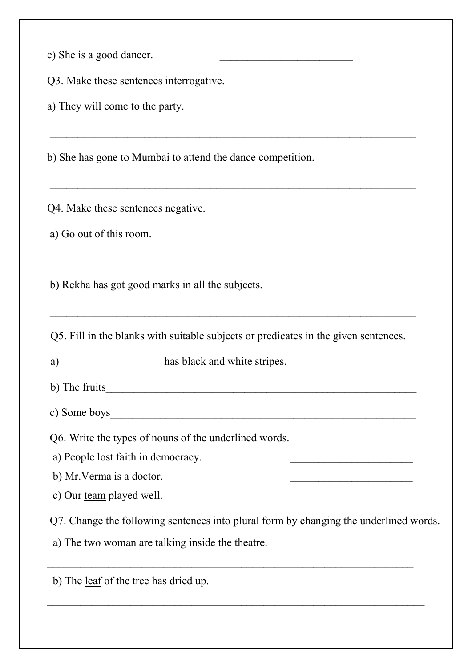|  |  | c) She is a good dancer. |
|--|--|--------------------------|
|  |  |                          |
|  |  |                          |

c) She is a good dancer.<br>
Q3. Make these sentences interrogative.<br>
a) They will come to the party. e) She is a good dancer.<br>
Q3. Make these sentences interrogative.<br>
a) They will come to the party.

c) She is a good dancer.<br>
Q3. Make these sentences interrogative.<br>
a) They will come to the party.<br>
b) She has gone to Mumbai to attend the dance competition. b) She is a good dancer.<br>
(23. Make these sentences interrogative.<br>
a) They will come to the party.<br>
b) She has gone to Mumbai to attend the dance competition.<br>
<br>
Q4. Make these sentences negative.<br>
a) Go out of this room. and the set of the set of the party.<br>
(a) They will come to the party.<br>
(a) They will come to the party.<br>
(b) She has gone to Mumbai to attend the dance competition.<br>
(b) Rekha has got good marks in all the subjects.

b) They will come to the party.<br>
b) She has gone to Mumbai to attend the dance competition.<br>
<br> **a**) Go out of this room.<br>
<br> **b**) Rekha has got good marks in all the subjects.<br>
<br>
Q5. Fill in the blanks with suitable subject a) \_\_\_\_\_\_\_\_\_\_\_\_\_\_\_\_\_\_ has black and white stripes. 24. Make these sentences negative.<br>
a) Go out of this room.<br>
b) Rekha has got good marks in all the subjects.<br>
25. Fill in the blanks with suitable subjects or predicates in the given sentences.<br>
a) \_\_\_\_\_\_\_\_\_\_\_\_\_\_\_\_\_\_\_\_\_\_\_ (4. Make these sentences negative.<br>
a) Go out of this room.<br>
b) Rekha has got good marks in all the subjects.<br>
Q5. Fill in the blanks with suitable subjects or predicates in the given sentences.<br>
a) \_\_\_\_\_\_\_\_\_\_\_\_\_\_\_\_\_\_\_\_\_\_\_ Q6. Write the types of nouns of the underlined words. a) People lost faith in democracy. \_\_\_\_\_\_\_\_\_\_\_\_\_\_\_\_\_\_\_\_\_\_

b) Mr.Verma is a doctor. \_\_\_\_\_\_\_\_\_\_\_\_\_\_\_\_\_\_\_\_\_\_ 25. Fill in the blanks with suitable subjects or predicates in the given sentences.<br>
(a)<br>
(b) Left in the blanks with suitable subjects or predicates in the given sentences.<br>
(b) Our fruits<br>
(b) Mr. Verma is a doctor.<br>
(c) Q5. Fill in the blanks with suitable subjects or predicates in the given sentences.<br>
a) Lee fruits the following sentences into plural form by changing the underlined words.<br>
a) People lost <u>faith</u> in democracy.<br>
b) <u>Mr. V</u> (2). The fruits<br>
a) The solutions what station stations where the tripes.<br>
a) Some boys<br>
Of Some boys<br>
Of Write the types of nouns of the underlined words.<br>
a) People lost <u>faith</u> in democracy.<br>
b) <u>Mr. Verma</u> is a doctor. b) The fruits<br>
c) Some boys<br>
Q6. Write the types of nouns of the underlined words.<br>
a) People lost <u>faith</u> in democracy.<br>
b) <u>Mr. Verma</u> is a doctor.<br>
c) Our <u>team</u> played well.<br>
Q7. Change the following sentences into plu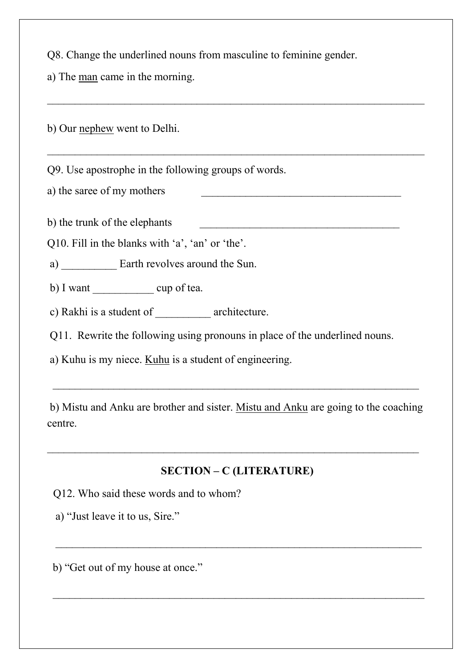Q8. Change the underlined nouns from masculine to feminine gender.<br>a) The <u>man</u> came in the morning. Q8. Change the underlined nouns from masculine to feminine gender.<br>
a) The <u>man</u> came in the morning.<br>
b) Our nephew went to Delhi OS. Change the underlined nouns from masculine to feminine gender.<br>
a) The <u>man</u> came in the morning.<br>
b) Our <u>nephew</u> went to Delhi.<br>
OP. Use apostrophe in the following groups of words.<br>
a) the saree of my mothers<br>
b) th

28. Change the underlined nouns from masculine to feminine gender.<br>
a) The <u>man</u> came in the morning.<br>
b) Our <u>nephew</u> went to Delhi.<br>
29. Use apostrophe in the following groups of words.<br>
a) the saree of my mothers<br>
b) th Q8. Change the underlined nouns from masculine to feminine gender.<br>
a) The <u>man</u> came in the morning.<br>
b) Our <u>nephew</u> went to Delhi.<br>
Q9. Use apostrophe in the following groups of words.<br>
a) the saree of my mothers<br>
b) th Q8. Change the underlined nouns from masculine to feminine gender.<br>
a) The <u>man</u> came in the morning.<br>
b) Our <u>nephew</u> went to Delhi.<br>
Q9. Use apostrophe in the following groups of words.<br>
a) the saree of my mothers<br>
b) th a) The <u>man</u> came in the morning.<br>
(a) Our <u>nephew</u> went to Delhi.<br>
(b) Our <u>nephew</u> went to Delhi.<br>
(b) Use apostrophe in the following groups of words.<br>
(a) the sare of my mothers<br>
(b) the trunk of the elephants<br>
(a) \_\_ b) Our <u>nephew</u> went to Delhi.<br>
199. Use apostrophe in the following groups of words.<br>
1) the saree of my mothers<br>
1) the trunk of the elephants<br>
10. Fill in the blanks with 'a', 'an' or 'the'.<br>
10. Fill in the blanks with c) Rakhi is a student of \_\_\_\_\_\_\_\_\_\_ architecture. (29. Use apostrophe in the following groups of words.<br>
(29. Use apostrophe in the following groups of words.<br>
(210. Fill in the blanks with 'a', 'an' or 'the'.<br>
(210. Fill in the blanks with 'a', 'an' or 'the'.<br>
(211. Rewr a) Kuhu is my niece. Kuhu is a student of engineering. \_\_\_\_\_\_\_\_\_\_\_\_\_\_\_\_\_\_\_\_\_\_\_\_\_\_\_\_\_\_\_\_\_\_\_\_\_\_\_\_\_\_\_\_\_\_\_\_\_\_\_\_\_\_\_\_\_\_\_\_\_\_\_\_\_\_

b) Mistu and Anku are brother and sister. Mistu and Anku are going to the coaching centre. \_\_\_\_\_\_\_\_\_\_\_\_\_\_\_\_\_\_\_\_\_\_\_\_\_\_\_\_\_\_\_\_\_\_\_\_\_\_\_\_\_\_\_\_\_\_\_\_\_\_\_\_\_\_\_\_\_\_\_\_\_\_\_\_\_\_\_ SECTION – C (LITERATURE) Compared to the set of the underlined nouns.<br>
(Capacity) Rakhi is a student of <u>entilling</u> using pronouns in place of the underlined nouns.<br>
(Capacity) Whilm is my niece. <u>Kuhu</u> is a student of engineering.<br>
(Capacity) Mi A) "The state is a student of the following using pronouns in place of the underlined nouns.<br>
(a) ILA is my niece. <u>Kuhu</u> is a student of engineering.<br>
(b) Mistu and Anku are brother and sister. <u>Mistu and Anku</u> are going b) Mistu and Anku are brother and sister. <u>Mistu and Anku</u> are going to the coaching<br>
entre.<br>
SECTION – C (LITERATURE)<br>
Q12. Who said these words and to whom?<br>
a) "Just leave it to us, Sire."<br>
b) "Get out of my house at on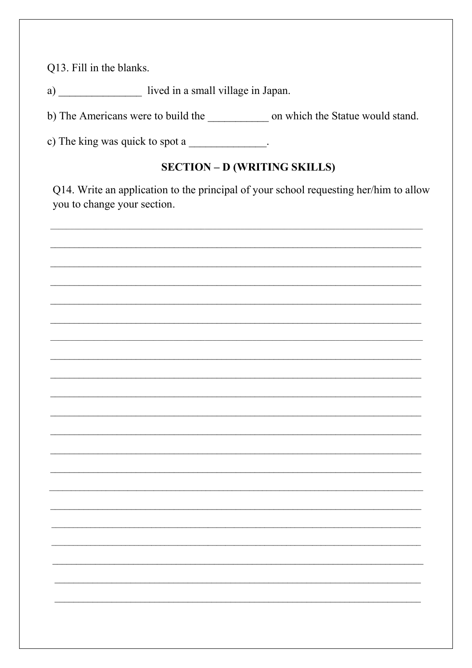Q13. Fill in the blanks.

a) lived in a small village in Japan.

b) The Americans were to build the \_\_\_\_\_\_\_\_\_\_\_\_\_\_ on which the Statue would stand.

c) The king was quick to spot a \_\_\_\_\_\_\_\_\_\_\_\_\_.

## **SECTION - D (WRITING SKILLS)**

Q14. Write an application to the principal of your school requesting her/him to allow you to change your section.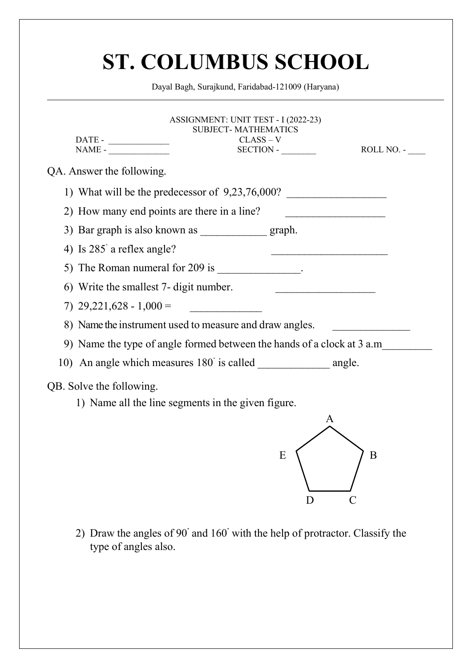| Dayal Bagh, Surajkund, Faridabad-121009 (Haryana)<br>ASSIGNMENT: UNIT TEST - I (2022-23)<br><b>SUBJECT-MATHEMATICS</b><br>$CLASS - V$<br>$NAME -$<br>$SECTION -$<br>ROLL NO. -<br>QA. Answer the following.<br>1) What will be the predecessor of $9,23,76,000$ ?<br>2) How many end points are there in a line? |
|------------------------------------------------------------------------------------------------------------------------------------------------------------------------------------------------------------------------------------------------------------------------------------------------------------------|
|                                                                                                                                                                                                                                                                                                                  |
|                                                                                                                                                                                                                                                                                                                  |
|                                                                                                                                                                                                                                                                                                                  |
|                                                                                                                                                                                                                                                                                                                  |
|                                                                                                                                                                                                                                                                                                                  |
| 3) Bar graph is also known as<br>graph.                                                                                                                                                                                                                                                                          |
| 4) Is 285 a reflex angle?                                                                                                                                                                                                                                                                                        |
| 5) The Roman numeral for 209 is ______________.                                                                                                                                                                                                                                                                  |
| 6) Write the smallest 7- digit number.                                                                                                                                                                                                                                                                           |
| 7) $29,221,628 - 1,000 =$                                                                                                                                                                                                                                                                                        |
| 8) Name the instrument used to measure and draw angles.                                                                                                                                                                                                                                                          |
| 9) Name the type of angle formed between the hands of a clock at 3 a.m_                                                                                                                                                                                                                                          |
|                                                                                                                                                                                                                                                                                                                  |
| QB. Solve the following.                                                                                                                                                                                                                                                                                         |
| 1) Name all the line segments in the given figure.                                                                                                                                                                                                                                                               |
| A                                                                                                                                                                                                                                                                                                                |
|                                                                                                                                                                                                                                                                                                                  |
| E<br>$\bf{B}$                                                                                                                                                                                                                                                                                                    |
|                                                                                                                                                                                                                                                                                                                  |
| D<br>C                                                                                                                                                                                                                                                                                                           |
| 2) Draw the angles of 90° and 160° with the help of protractor. Classify the<br>type of angles also.                                                                                                                                                                                                             |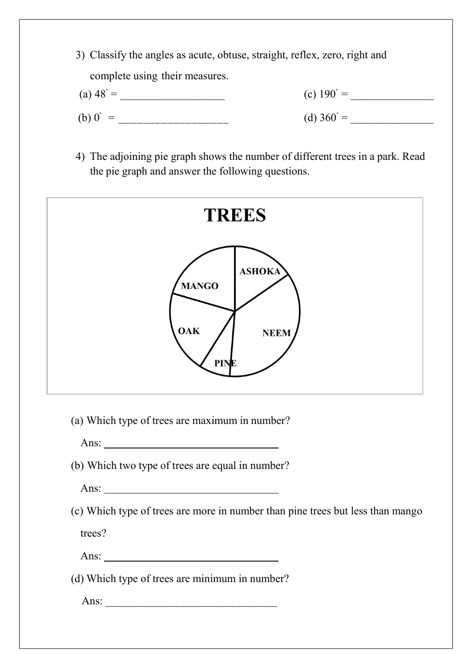- 3) Classify the angles as acute, obtuse, straight, reflex, zero, right and<br>complete using their measures.<br>(a)  $48^\circ =$  (c)  $190^\circ =$  (c)  $190^\circ$ Classify the angles as acute, obtuse, straight, reflex, zero, right and<br>
complete using their measures.<br>  $948^\circ =$  (c)  $190^\circ =$  (d)  $360^\circ =$  (d)  $360^\circ =$ (a) Classify the angles as acute, obtuse, straight, reflex, zero, right and complete using their measures.<br>
(a)  $48^\circ =$  (c)  $190^\circ =$  (d)  $360^\circ =$  (d)  $360^\circ =$ (b) 0˚ = \_\_\_\_\_\_\_\_\_\_\_\_\_\_\_\_\_\_ (d) 360˚ = \_\_\_\_\_\_\_\_\_\_\_\_\_\_\_ 4) The adjoining pie graph shows the number of different trees in a park. Read<br>the pie graph and answer the following questions. Classify the angles as acute, obtuse, straight, reflex, zero, right and<br>
complete using their measures.<br>  $(48^{\circ} =$  (c)  $190^{\circ} =$  (d)  $360^{\circ} =$  (d)  $360^{\circ} =$  (d)  $360^{\circ} =$  (d)  $360^{\circ} =$  (d)  $360^{\circ} =$  (d)  $360^{\circ} =$ 
	-



Ans:

trees?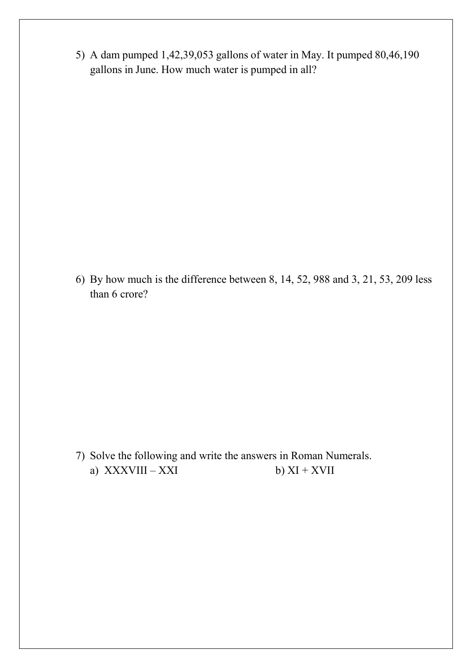- 5) A dam pumped 1,42,39,053 gallons of water in May. It pumped 80,46,190 gallons in June. How much water is pumped in all? A dam pumped 1,42,39,053 gallons of water in May. It pumped 80,46,190 gallons in June. How much water is pumped in all?
- 6) By how much is the difference between 8, 14, 52, 988 and 3, 21, 53, 209 less than 6 crore? By how much is the difference between 8, 14, 52, 988 and 3, 21, than 6 crore? 900 By how much is the difference between 8, 14, 52, 988 and 3, 21, 53, 209 less<br>than 6 crore?<br>Than 6 crore?<br>Than 6 crore?<br>Than 6 crore?<br>Than 6 crore?<br>Than 6 crore?<br>Than 8 compared in Roman Numerals.<br>a) XXXVIII – XXI<br>b) X By how much is the difference between 8, 14, 52, 988 and 3, 21, 53, 209 less<br>than 6 crore?<br>Solve the following and write the answers in Roman Numerals.<br>a) XXXVIII – XXI b) XI + XVII
-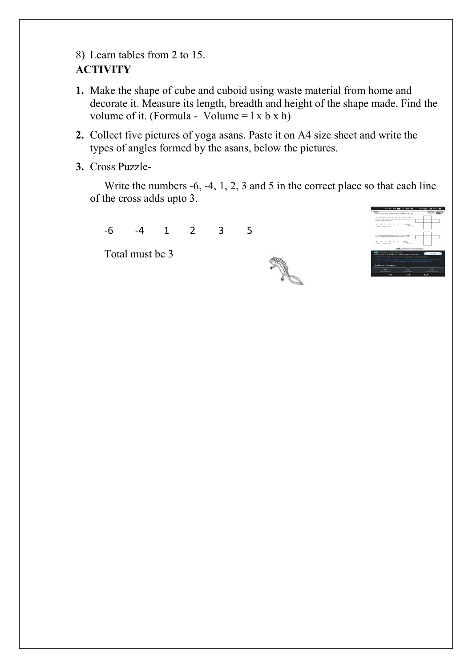# **ACTIVITY**

- 8) Learn tables from 2 to 15.<br>
ACTIVITY<br>
1. Make the shape of cube and cuboid using waste material from home and<br>
decorate it. Measure its length, breadth and height of the shape made. Find the 1. Make the shape of cube and cuboid using waste material from home and<br>
decorate it. Measure its length, breadth and height of the shape made. Find the<br>
volume of it. (Formula - Volume = 1 x b x h)<br>
2. Collect five pictu Learn tables from 2 to 15.<br>
TIVITY<br>
Make the shape of cube and cuboid using waste material from home and<br>
decorate it. Measure its length, breadth and height of the shape made. Find the<br>
volume of it. (Formula - Volume = Learn tables from 2 to 15.<br>
TIVITY<br>
Make the shape of cube and cuboid using waste material from home and<br>
decorate it. Measure its length, breadth and height of the shape made. Find the<br>
volume of it. (Formula - Volume = 2. Collect five pictures of cube and cuboid using waste material from home and<br>
1. Make the shape of cube and cuboid using waste material from home and<br>
decorate it. Measure its length, breadth and height of the shape mad Learn tables from 2 to 15.<br>
TIVITY<br>
Make the shape of cube and cuboid using waste material from home and<br>
decorate it. Measure its length, breadth and height of the shape made. Find the<br>
volume of it. (Formula - Volume = 3. Cross Puzzle-<br>
Write the numbers of cube and cuboid using waste material from homological it. Measure its length, breadth and height of the shape number of it. (Formula - Volume =  $1 \times b \times h$ )<br>
2. Collect five pictures o WITY<br>
WITY<br>
the the shape of cube and cuboid using waste material from home and<br>
corate it. Measure its length, breadth and height of the shape made. Find the<br>
ume of it. (Formula - Volume = 1 x b x h)<br>
llect five picture Learn tables from 2 to 15.<br>
TIVITY<br>
Make the shape of cube and cuboid using waste material from home and<br>
decorate it. Measure its length, breadth and height of the shape made. Find the<br>
volume of it. (Formula - Volume = For tables from 2 to 15.<br>
WITY<br>
Ace the shape of cube and cuboid using waste material from home and<br>
corate it. Measure its length, breadth and height of the shape made. Find the<br>
ume of it. (Formula - Volume = 1 x b x h) Follow the shape of cube and cuboid using waste material from home and<br>
surfly<br>
the the shape of cube and cuboid using waste material from home and<br>
corate it. Measure its length, breadth and height of the shape made. Fin
- 
- 



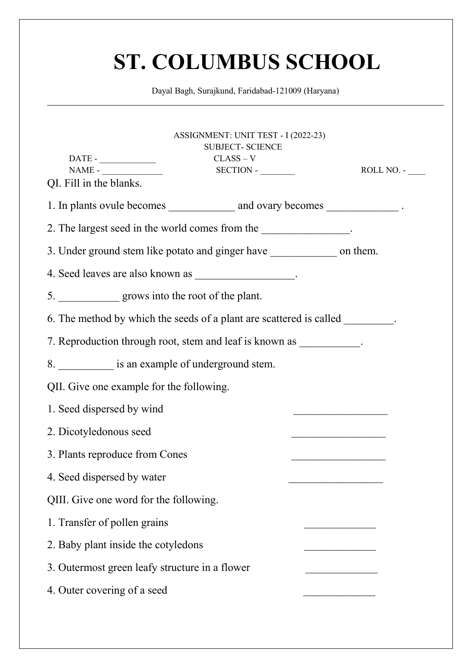|                                                           | <b>ST. COLUMBUS SCHOOL</b>                                                                                                                                                                                                     |                                                 |
|-----------------------------------------------------------|--------------------------------------------------------------------------------------------------------------------------------------------------------------------------------------------------------------------------------|-------------------------------------------------|
|                                                           | Dayal Bagh, Surajkund, Faridabad-121009 (Haryana)                                                                                                                                                                              |                                                 |
|                                                           |                                                                                                                                                                                                                                |                                                 |
| $NAME -$<br>QI. Fill in the blanks.                       | ASSIGNMENT: UNIT TEST - I (2022-23)<br><b>SUBJECT- SCIENCE</b><br>$CLASS - V$<br>SECTION -                                                                                                                                     | ROLL NO. -                                      |
|                                                           |                                                                                                                                                                                                                                |                                                 |
|                                                           | 2. The largest seed in the world comes from the the state of the state of the state of the state of the state of the state of the state of the state of the state of the state of the state of the state of the state of the s |                                                 |
|                                                           | 3. Under ground stem like potato and ginger have _________________ on them.                                                                                                                                                    |                                                 |
| 4. Seed leaves are also known as _______________________. |                                                                                                                                                                                                                                |                                                 |
| 5. grows into the root of the plant.                      |                                                                                                                                                                                                                                |                                                 |
|                                                           | 6. The method by which the seeds of a plant are scattered is called ________.                                                                                                                                                  |                                                 |
|                                                           | 7. Reproduction through root, stem and leaf is known as ___________.                                                                                                                                                           |                                                 |
| 8. ____________ is an example of underground stem.        |                                                                                                                                                                                                                                |                                                 |
| QII. Give one example for the following.                  |                                                                                                                                                                                                                                |                                                 |
| 1. Seed dispersed by wind                                 |                                                                                                                                                                                                                                |                                                 |
| 2. Dicotyledonous seed                                    |                                                                                                                                                                                                                                | <u> 1989 - Johann Barbara, martxa alemani</u> a |
| 3. Plants reproduce from Cones                            |                                                                                                                                                                                                                                |                                                 |
| 4. Seed dispersed by water                                |                                                                                                                                                                                                                                |                                                 |
| QIII. Give one word for the following.                    |                                                                                                                                                                                                                                |                                                 |
| 1. Transfer of pollen grains                              |                                                                                                                                                                                                                                |                                                 |
| 2. Baby plant inside the cotyledons                       |                                                                                                                                                                                                                                |                                                 |
| 3. Outermost green leafy structure in a flower            |                                                                                                                                                                                                                                |                                                 |
|                                                           |                                                                                                                                                                                                                                |                                                 |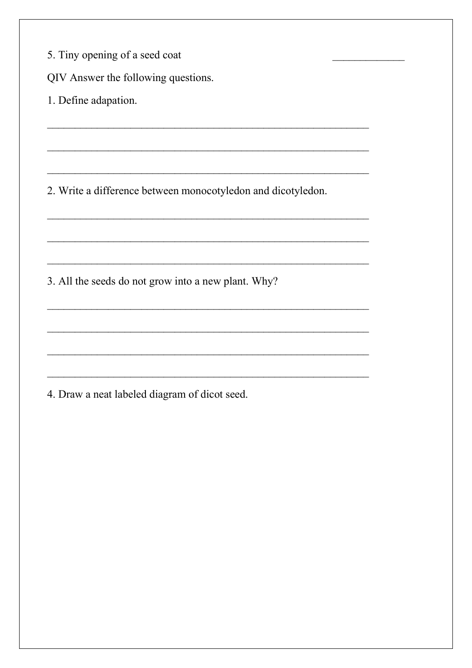|  | 5. Tiny opening of a seed coat |  |  |
|--|--------------------------------|--|--|
|  |                                |  |  |

QIV Answer the following questions.

1. Define adapation.

2. Write a difference between monocotyledon and dicotyledon.

3. All the seeds do not grow into a new plant. Why?

4. Draw a neat labeled diagram of dicot seed.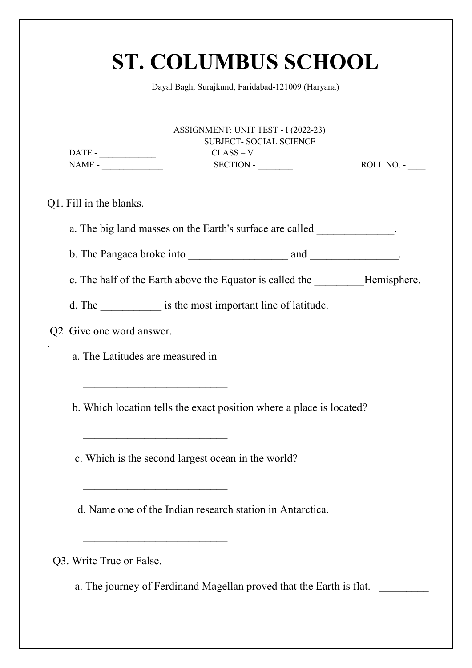|                           | Dayal Bagh, Surajkund, Faridabad-121009 (Haryana)                              |                                                                |            |
|---------------------------|--------------------------------------------------------------------------------|----------------------------------------------------------------|------------|
|                           | $CLASS - V$                                                                    | ASSIGNMENT: UNIT TEST - I (2022-23)<br>SUBJECT- SOCIAL SCIENCE |            |
| $NAME -$                  |                                                                                | $SECTION -$                                                    | ROLL NO. - |
| Q1. Fill in the blanks.   |                                                                                |                                                                |            |
|                           | a. The big land masses on the Earth's surface are called                       |                                                                |            |
|                           |                                                                                |                                                                |            |
|                           | c. The half of the Earth above the Equator is called the __________Hemisphere. |                                                                |            |
|                           | d. The is the most important line of latitude.                                 |                                                                |            |
| Q2. Give one word answer. |                                                                                |                                                                |            |
|                           | a. The Latitudes are measured in                                               |                                                                |            |
|                           | b. Which location tells the exact position where a place is located?           |                                                                |            |
|                           | c. Which is the second largest ocean in the world?                             |                                                                |            |
|                           | d. Name one of the Indian research station in Antarctica.                      |                                                                |            |
| Q3. Write True or False.  |                                                                                |                                                                |            |
|                           | a. The journey of Ferdinand Magellan proved that the Earth is flat.            |                                                                |            |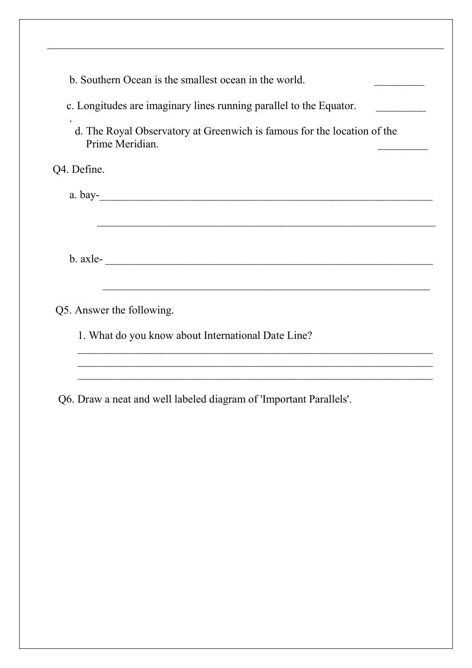| b. Southern Ocean is the smallest ocean in the world.                                      |  |
|--------------------------------------------------------------------------------------------|--|
| c. Longitudes are imaginary lines running parallel to the Equator.                         |  |
| d. The Royal Observatory at Greenwich is famous for the location of the<br>Prime Meridian. |  |
| Q4. Define.                                                                                |  |
| a. bay-                                                                                    |  |
|                                                                                            |  |
| $b. \,  \text{axle--}$                                                                     |  |
| <u> 1989 - Johann Stoff, amerikansk politiker (d. 1989)</u><br>Q5. Answer the following.   |  |
| 1. What do you know about International Date Line?                                         |  |
|                                                                                            |  |
| Q6. Draw a neat and well labeled diagram of 'Important Parallels'.                         |  |
|                                                                                            |  |
|                                                                                            |  |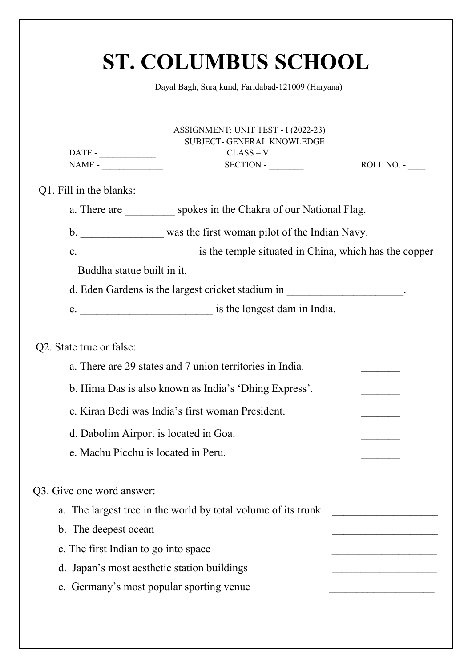| <b>ST. COLUMBUS SCHOOL</b>                                                                                  |                                                 |
|-------------------------------------------------------------------------------------------------------------|-------------------------------------------------|
| Dayal Bagh, Surajkund, Faridabad-121009 (Haryana)                                                           |                                                 |
| ASSIGNMENT: UNIT TEST - I (2022-23)<br>SUBJECT- GENERAL KNOWLEDGE<br>$CLASS - V$<br>$NAME -$<br>$SECTION -$ | ROLL NO. -                                      |
| Q1. Fill in the blanks:                                                                                     |                                                 |
| a. There are spokes in the Chakra of our National Flag.                                                     |                                                 |
| was the first woman pilot of the Indian Navy.<br>$\mathbf b$ .                                              |                                                 |
| is the temple situated in China, which has the copper<br>$\mathbf{c}$ .                                     |                                                 |
| Buddha statue built in it.                                                                                  |                                                 |
| d. Eden Gardens is the largest cricket stadium in                                                           | the contract of the contract of the contract of |
| is the longest dam in India.<br>e.                                                                          |                                                 |
| Q2. State true or false:                                                                                    |                                                 |
| a. There are 29 states and 7 union territories in India.                                                    |                                                 |
| b. Hima Das is also known as India's 'Dhing Express'.                                                       |                                                 |
| c. Kiran Bedi was India's first woman President.                                                            |                                                 |
| d. Dabolim Airport is located in Goa.                                                                       |                                                 |
| e. Machu Picchu is located in Peru.                                                                         |                                                 |
| Q3. Give one word answer:                                                                                   |                                                 |
| a. The largest tree in the world by total volume of its trunk                                               |                                                 |
| b. The deepest ocean                                                                                        |                                                 |
| c. The first Indian to go into space                                                                        |                                                 |
| d. Japan's most aesthetic station buildings                                                                 |                                                 |
| e. Germany's most popular sporting venue                                                                    |                                                 |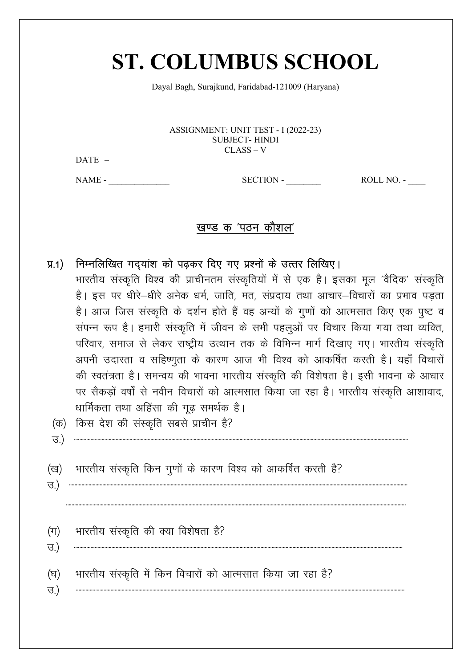## **ST. COLUMBUS SCHOOL**

Dayal Bagh, Surajkund, Faridabad-121009 (Haryana)

ASSIGNMENT: UNIT TEST - I (2022-23) **SUBJECT-HINDI**  $CLASS - V$ 

DATE -

 $NAME -$ 

 $SECTION -$ 

ROLL NO. -

## खण्ड क 'पठन कौशल'

## निम्नलिखित गदयांश को पढ़कर दिए गए प्रश्नों के उत्तर लिखिए।  $\overline{y}$ .1)

भारतीय संस्कृति विश्व की प्राचीनतम संस्कृतियों में से एक है। इसका मूल 'वैदिक' संस्कृति है। इस पर धीरे–धीरे अनेक धर्म, जाति, मत, संप्रदाय तथा आचार–विचारों का प्रभाव पडता है। आज जिस संस्कृति के दर्शन होते हैं वह अन्यों के गुणों को आत्मसात किए एक पुष्ट व संपन्न रूप है। हमारी संस्कृति में जीवन के सभी पहलूओं पर विचार किया गया तथा व्यक्ति, परिवार, समाज से लेकर राष्ट्रीय उत्थान तक के विभिन्न मार्ग दिखाए गए। भारतीय संस्कृति अपनी उदारता व सहिष्णुता के कारण आज भी विश्व को आकर्षित करती है। यहाँ विचारों की स्वतंत्रता है। समन्वय की भावना भारतीय संस्कृति की विशेषता है। इसी भावना के आधार पर सैकड़ों वर्षों से नवीन विचारों को आत्मसात किया जा रहा है। भारतीय संस्कृति आशावाद, धार्मिकता तथा अहिंसा की गुढ़ समर्थक है।

- (क) किस देश की संस्कृति सबसे प्राचीन है?
- भारतीय संस्कृति किन गुणों के कारण विश्व को आकर्षित करती है? (ख)
- <u>ਚ)</u>

 $\overline{3}$ )

भारतीय संस्कृति की क्या विशेषता है?  $(\pi)$ 

<u>ਚ.)</u>

ਚ.)

भारतीय संस्कृति में किन विचारों को आत्मसात किया जा रहा है? (घ)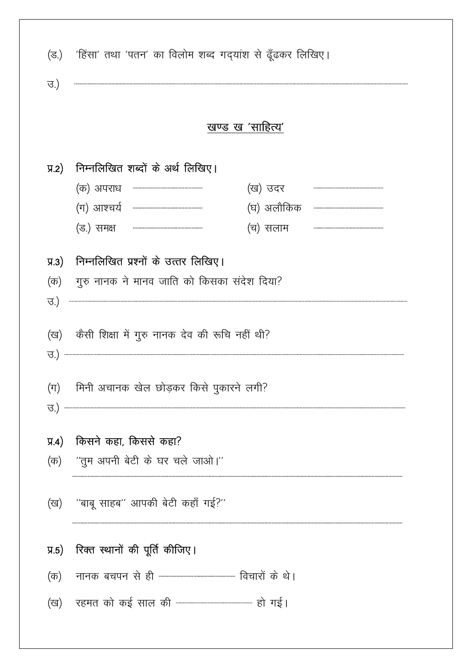| (ड.)               | 'हिंसा' तथा 'पतन' का विलोम शब्द गद्यांश से ढूँढकर लिखिए।                                                                                                                                                                                                                                                                                                                                                                                                             |
|--------------------|----------------------------------------------------------------------------------------------------------------------------------------------------------------------------------------------------------------------------------------------------------------------------------------------------------------------------------------------------------------------------------------------------------------------------------------------------------------------|
| <u>ਚ.)</u>         |                                                                                                                                                                                                                                                                                                                                                                                                                                                                      |
|                    | खण्ड ख 'साहित्य'                                                                                                                                                                                                                                                                                                                                                                                                                                                     |
| $\overline{4.2}$   | निम्नलिखित शब्दों के अर्थ लिखिए।                                                                                                                                                                                                                                                                                                                                                                                                                                     |
|                    | (क) अपराध<br>(ख) उदर                                                                                                                                                                                                                                                                                                                                                                                                                                                 |
|                    | (ग) आश्चर्य<br>(घ) अलौकिक<br>$\begin{minipage}{0.9\linewidth} \begin{tabular}{l} \hline \textbf{r} & \textbf{r} & \textbf{r} & \textbf{r} & \textbf{r} & \textbf{r} & \textbf{r} & \textbf{r} & \textbf{r} & \textbf{r} & \textbf{r} & \textbf{r} & \textbf{r} & \textbf{r} & \textbf{r} & \textbf{r} & \textbf{r} & \textbf{r} & \textbf{r} & \textbf{r} & \textbf{r} & \textbf{r} & \textbf{r} & \textbf{r} & \textbf{r} & \textbf{r} & \textbf{r} & \textbf{r} &$ |
|                    | (ड.) समक्ष<br>(च) सलाम                                                                                                                                                                                                                                                                                                                                                                                                                                               |
| $\overline{y}$ .3) | निम्नलिखित प्रश्नों के उत्तर लिखिए।                                                                                                                                                                                                                                                                                                                                                                                                                                  |
| (क)                | गुरु नानक ने मानव जाति को किसका संदेश दिया?                                                                                                                                                                                                                                                                                                                                                                                                                          |
| उ.)                |                                                                                                                                                                                                                                                                                                                                                                                                                                                                      |
| (ख)                | कैसी शिक्षा में गुरु नानक देव की रूचि नहीं थी?                                                                                                                                                                                                                                                                                                                                                                                                                       |
| ত.)                |                                                                                                                                                                                                                                                                                                                                                                                                                                                                      |
|                    |                                                                                                                                                                                                                                                                                                                                                                                                                                                                      |
| $(\pi)$            | मिनी अचानक खेल छोड़कर किसे पुकारने लगी?                                                                                                                                                                                                                                                                                                                                                                                                                              |
| $\mathcal{B}$ .)   |                                                                                                                                                                                                                                                                                                                                                                                                                                                                      |
| $\overline{y_4}$   | किसने कहा, किससे कहा?                                                                                                                                                                                                                                                                                                                                                                                                                                                |
| (क)                | ''तुम अपनी बेटी के घर चले जाओ।''                                                                                                                                                                                                                                                                                                                                                                                                                                     |
|                    |                                                                                                                                                                                                                                                                                                                                                                                                                                                                      |
| (ख)                | ''बाबू साहब'' आपकी बेटी कहाँ गई?''                                                                                                                                                                                                                                                                                                                                                                                                                                   |
|                    |                                                                                                                                                                                                                                                                                                                                                                                                                                                                      |
| $\overline{y}$ .5) | रिक्त स्थानों की पूर्ति कीजिए।                                                                                                                                                                                                                                                                                                                                                                                                                                       |
| (क)                |                                                                                                                                                                                                                                                                                                                                                                                                                                                                      |
|                    |                                                                                                                                                                                                                                                                                                                                                                                                                                                                      |
|                    |                                                                                                                                                                                                                                                                                                                                                                                                                                                                      |